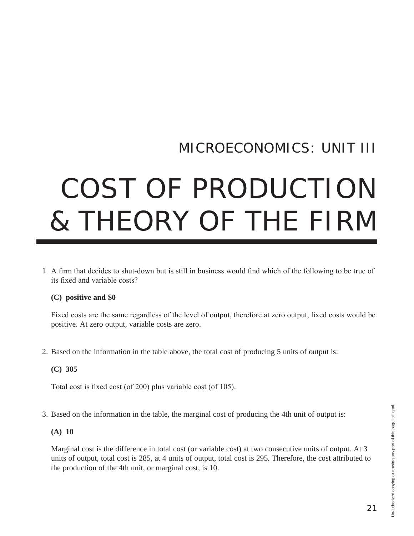# MICROECONOMICS: UNIT III

# COST OF PRODUCTION & THEORY OF THE FIRM

1. A firm that decides to shut-down but is still in business would find which of the following to be true of its fixed and variable costs?

# **(C) positive and \$0**

Fixed costs are the same regardless of the level of output, therefore at zero output, fixed costs would be positive. At zero output, variable costs are zero.

2. Based on the information in the table above, the total cost of producing 5 units of output is:

# **(C) 305**

Total cost is fixed cost (of 200) plus variable cost (of 105).

3. Based on the information in the table, the marginal cost of producing the 4th unit of output is:

# **(A) 10**

Marginal cost is the difference in total cost (or variable cost) at two consecutive units of output. At 3 units of output, total cost is 285, at 4 units of output, total cost is 295. Therefore, the cost attributed to the production of the 4th unit, or marginal cost, is 10.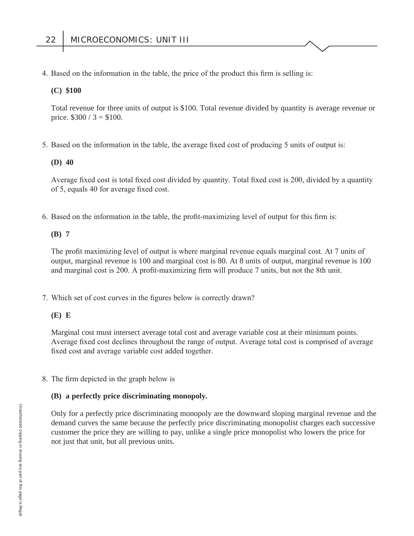4. Based on the information in the table, the price of the product this firm is selling is:

#### **(C) \$100**

Total revenue for three units of output is \$100. Total revenue divided by quantity is average revenue or price.  $$300 / 3 = $100$ .

5. Based on the information in the table, the average fixed cost of producing 5 units of output is:

#### **(D) 40**

Average fixed cost is total fixed cost divided by quantity. Total fixed cost is 200, divided by a quantity of 5, equals 40 for average fixed cost.

6. Based on the information in the table, the profit-maximizing level of output for this firm is:

#### **(B) 7**

The profit maximizing level of output is where marginal revenue equals marginal cost. At 7 units of output, marginal revenue is 100 and marginal cost is 80. At 8 units of output, marginal revenue is 100 and marginal cost is 200. A profit-maximizing firm will produce 7 units, but not the 8th unit.

7. Which set of cost curves in the figures below is correctly drawn?

# **(E) E**

Marginal cost must intersect average total cost and average variable cost at their minimum points. Average fixed cost declines throughout the range of output. Average total cost is comprised of average fixed cost and average variable cost added together.

8. The firm depicted in the graph below is

# **(B) a perfectly price discriminating monopoly.**

Only for a perfectly price discriminating monopoly are the downward sloping marginal revenue and the demand curves the same because the perfectly price discriminating monopolist charges each successive customer the price they are willing to pay, unlike a single price monopolist who lowers the price for not just that unit, but all previous units.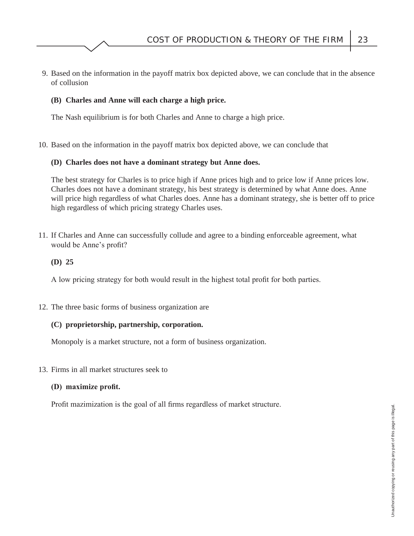9. Based on the information in the payoff matrix box depicted above, we can conclude that in the absence of collusion

# **(B) Charles and Anne will each charge a high price.**

The Nash equilibrium is for both Charles and Anne to charge a high price.

10. Based on the information in the payoff matrix box depicted above, we can conclude that

# **(D) Charles does not have a dominant strategy but Anne does.**

The best strategy for Charles is to price high if Anne prices high and to price low if Anne prices low. Charles does not have a dominant strategy, his best strategy is determined by what Anne does. Anne will price high regardless of what Charles does. Anne has a dominant strategy, she is better off to price high regardless of which pricing strategy Charles uses.

 11. If Charles and Anne can successfully collude and agree to a binding enforceable agreement, what would be Anne's profit?

# **(D) 25**

A low pricing strategy for both would result in the highest total profit for both parties.

12. The three basic forms of business organization are

# **(C) proprietorship, partnership, corporation.**

Monopoly is a market structure, not a form of business organization.

13. Firms in all market structures seek to

# **(D)** maximize profit.

Profit mazimization is the goal of all firms regardless of market structure.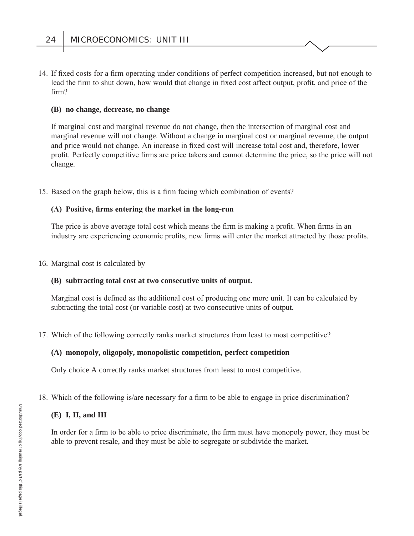14. If fixed costs for a firm operating under conditions of perfect competition increased, but not enough to lead the firm to shut down, how would that change in fixed cost affect output, profit, and price of the  $firm?$ 

### **(B) no change, decrease, no change**

If marginal cost and marginal revenue do not change, then the intersection of marginal cost and marginal revenue will not change. Without a change in marginal cost or marginal revenue, the output and price would not change. An increase in fixed cost will increase total cost and, therefore, lower profit. Perfectly competitive firms are price takers and cannot determine the price, so the price will not change.

15. Based on the graph below, this is a firm facing which combination of events?

# (A) Positive, firms entering the market in the long-run

The price is above average total cost which means the firm is making a profit. When firms in an industry are experiencing economic profits, new firms will enter the market attracted by those profits.

16. Marginal cost is calculated by

#### **(B) subtracting total cost at two consecutive units of output.**

Marginal cost is defined as the additional cost of producing one more unit. It can be calculated by subtracting the total cost (or variable cost) at two consecutive units of output.

17. Which of the following correctly ranks market structures from least to most competitive?

# **(A) monopoly, oligopoly, monopolistic competition, perfect competition**

Only choice A correctly ranks market structures from least to most competitive.

# 18. Which of the following is/are necessary for a firm to be able to engage in price discrimination?

# **(E) I, II, and III**

In order for a firm to be able to price discriminate, the firm must have monopoly power, they must be able to prevent resale, and they must be able to segregate or subdivide the market.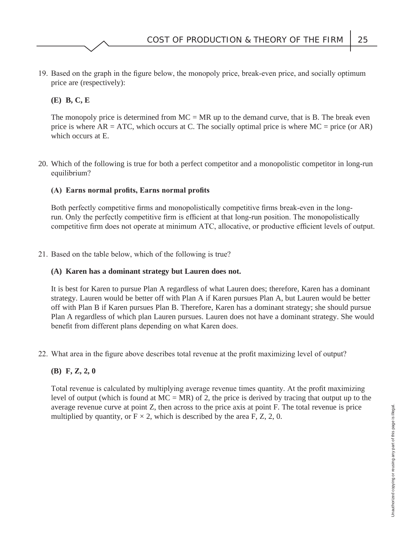19. Based on the graph in the figure below, the monopoly price, break-even price, and socially optimum price are (respectively):

# **(E) B, C, E**

The monopoly price is determined from  $MC = MR$  up to the demand curve, that is B. The break even price is where  $AR = ATC$ , which occurs at C. The socially optimal price is where  $MC = price$  (or  $AR$ ) which occurs at E.

 20. Which of the following is true for both a perfect competitor and a monopolistic competitor in long-run equilibrium?

# **(A)** Earns normal profits, Earns normal profits

Both perfectly competitive firms and monopolistically competitive firms break-even in the longrun. Only the perfectly competitive firm is efficient at that long-run position. The monopolistically competitive firm does not operate at minimum ATC, allocative, or productive efficient levels of output.

21. Based on the table below, which of the following is true?

# **(A) Karen has a dominant strategy but Lauren does not.**

It is best for Karen to pursue Plan A regardless of what Lauren does; therefore, Karen has a dominant strategy. Lauren would be better off with Plan A if Karen pursues Plan A, but Lauren would be better off with Plan B if Karen pursues Plan B. Therefore, Karen has a dominant strategy; she should pursue Plan A regardless of which plan Lauren pursues. Lauren does not have a dominant strategy. She would benefit from different plans depending on what Karen does.

22. What area in the figure above describes total revenue at the profit maximizing level of output?

# **(B) F, Z, 2, 0**

Total revenue is calculated by multiplying average revenue times quantity. At the profit maximizing level of output (which is found at  $MC = MR$ ) of 2, the price is derived by tracing that output up to the average revenue curve at point Z, then across to the price axis at point F. The total revenue is price multiplied by quantity, or  $F \times 2$ , which is described by the area F, Z, 2, 0.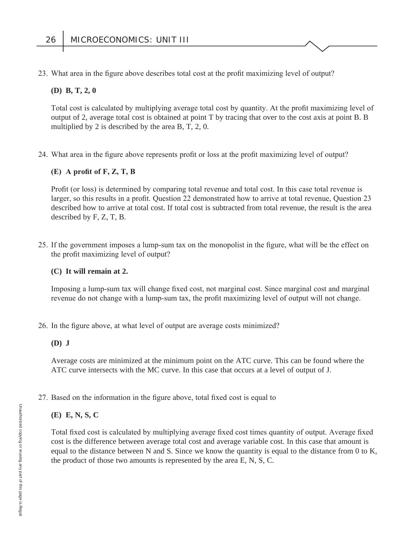23. What area in the figure above describes total cost at the profit maximizing level of output?

#### **(D) B, T, 2, 0**

Total cost is calculated by multiplying average total cost by quantity. At the profit maximizing level of output of 2, average total cost is obtained at point T by tracing that over to the cost axis at point B. B multiplied by 2 is described by the area B, T, 2, 0.

24. What area in the figure above represents profit or loss at the profit maximizing level of output?

# $(E)$  A profit of  $F, Z, T, B$

Profit (or loss) is determined by comparing total revenue and total cost. In this case total revenue is larger, so this results in a profit. Question 22 demonstrated how to arrive at total revenue, Question 23 described how to arrive at total cost. If total cost is subtracted from total revenue, the result is the area described by F, Z, T, B.

25. If the government imposes a lump-sum tax on the monopolist in the figure, what will be the effect on the profit maximizing level of output?

#### **(C) It will remain at 2.**

Imposing a lump-sum tax will change fixed cost, not marginal cost. Since marginal cost and marginal revenue do not change with a lump-sum tax, the profit maximizing level of output will not change.

26. In the figure above, at what level of output are average costs minimized?

#### **(D) J**

Average costs are minimized at the minimum point on the ATC curve. This can be found where the ATC curve intersects with the MC curve. In this case that occurs at a level of output of J.

#### 27. Based on the information in the figure above, total fixed cost is equal to

#### **(E) E, N, S, C**

Total fixed cost is calculated by multiplying average fixed cost times quantity of output. Average fixed cost is the difference between average total cost and average variable cost. In this case that amount is equal to the distance between N and S. Since we know the quantity is equal to the distance from 0 to K, the product of those two amounts is represented by the area E, N, S, C.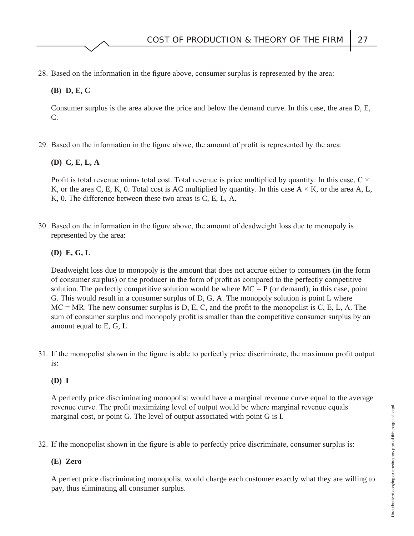28. Based on the information in the figure above, consumer surplus is represented by the area:

# **(B) D, E, C**

Consumer surplus is the area above the price and below the demand curve. In this case, the area D, E, C.

29. Based on the information in the figure above, the amount of profit is represented by the area:

# **(D) C, E, L, A**

Profit is total revenue minus total cost. Total revenue is price multiplied by quantity. In this case,  $C \times$ K, or the area C, E, K, 0. Total cost is AC multiplied by quantity. In this case  $A \times K$ , or the area A, L, K, 0. The difference between these two areas is C, E, L, A.

30. Based on the information in the figure above, the amount of deadweight loss due to monopoly is represented by the area:

# **(D) E, G, L**

Deadweight loss due to monopoly is the amount that does not accrue either to consumers (in the form of consumer surplus) or the producer in the form of profit as compared to the perfectly competitive solution. The perfectly competitive solution would be where  $MC = P$  (or demand); in this case, point G. This would result in a consumer surplus of D, G, A. The monopoly solution is point L where  $MC = MR$ . The new consumer surplus is D, E, C, and the profit to the monopolist is C, E, L, A. The sum of consumer surplus and monopoly profit is smaller than the competitive consumer surplus by an amount equal to E, G, L.

31. If the monopolist shown in the figure is able to perfectly price discriminate, the maximum profit output is:

# **(D) I**

A perfectly price discriminating monopolist would have a marginal revenue curve equal to the average revenue curve. The profit maximizing level of output would be where marginal revenue equals marginal cost, or point G. The level of output associated with point G is I.

32. If the monopolist shown in the figure is able to perfectly price discriminate, consumer surplus is:

# **(E) Zero**

A perfect price discriminating monopolist would charge each customer exactly what they are willing to pay, thus eliminating all consumer surplus.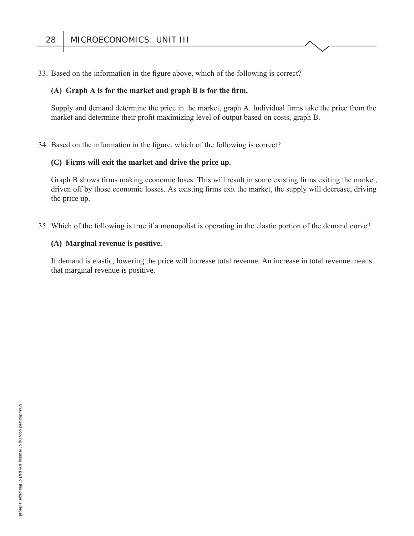33. Based on the information in the figure above, which of the following is correct?

#### (A) Graph A is for the market and graph B is for the firm.

Supply and demand determine the price in the market, graph A. Individual firms take the price from the market and determine their profit maximizing level of output based on costs, graph B.

34. Based on the information in the figure, which of the following is correct?

#### **(C) Firms will exit the market and drive the price up.**

Graph B shows firms making economic loses. This will result in some existing firms exiting the market, driven off by those economic losses. As existing firms exit the market, the supply will decrease, driving the price up.

35. Which of the following is true if a monopolist is operating in the elastic portion of the demand curve?

#### **(A) Marginal revenue is positive.**

If demand is elastic, lowering the price will increase total revenue. An increase in total revenue means that marginal revenue is positive.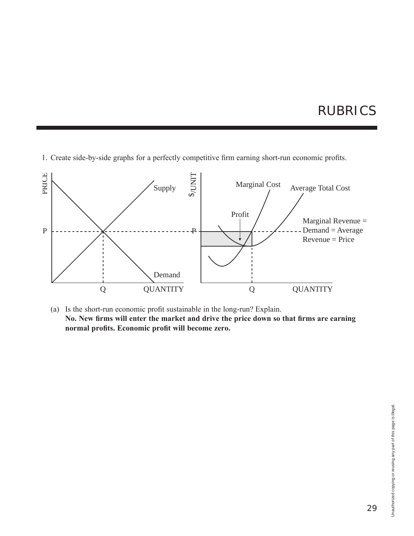# RUBRICS

1. Create side-by-side graphs for a perfectly competitive firm earning short-run economic profits.



(a) Is the short-run economic profit sustainable in the long-run? Explain. No. New firms will enter the market and drive the price down so that firms are earning normal profits. Economic profit will become zero.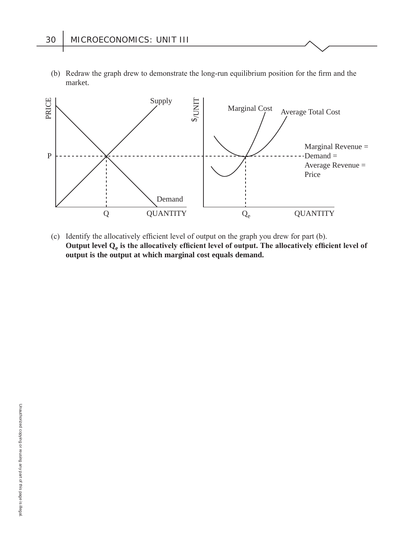(b) Redraw the graph drew to demonstrate the long-run equilibrium position for the firm and the market.



(c) Identify the allocatively efficient level of output on the graph you drew for part (b). Output level Q<sub>e</sub> is the allocatively efficient level of output. The allocatively efficient level of **output is the output at which marginal cost equals demand.**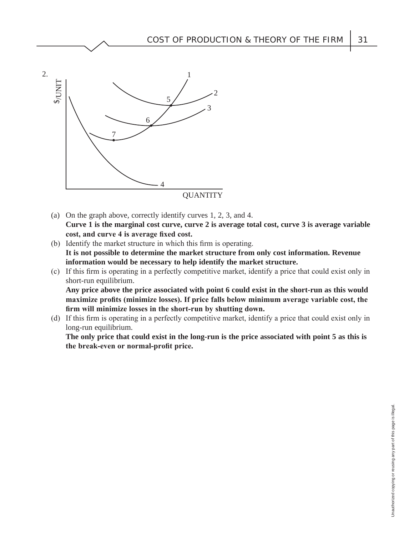

- (a) On the graph above, correctly identify curves 1, 2, 3, and 4. **Curve 1 is the marginal cost curve, curve 2 is average total cost, curve 3 is average variable**  cost, and curve 4 is average fixed cost.
- (b) Identify the market structure in which this firm is operating. **It is not possible to determine the market structure from only cost information. Revenue information would be necessary to help identify the market structure.**
- (c) If this firm is operating in a perfectly competitive market, identify a price that could exist only in short-run equilibrium.

**Any price above the price associated with point 6 could exist in the short-run as this would**  maximize profits (minimize losses). If price falls below minimum average variable cost, the firm will minimize losses in the short-run by shutting down.

(d) If this firm is operating in a perfectly competitive market, identify a price that could exist only in long-run equilibrium.

**The only price that could exist in the long-run is the price associated with point 5 as this is**  the break-even or normal-profit price.